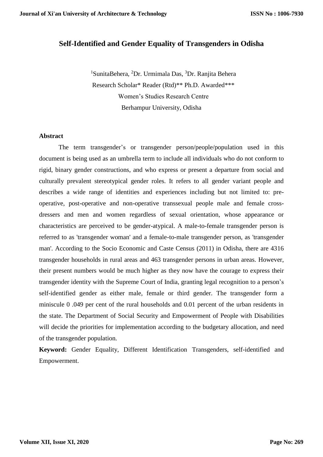# **Self-Identified and Gender Equality of Transgenders in Odisha**

<sup>1</sup>SunitaBehera, <sup>2</sup>Dr. Urmimala Das, <sup>3</sup>Dr. Ranjita Behera Research Scholar\* Reader (Rtd)\*\* Ph.D. Awarded\*\*\* Women's Studies Research Centre Berhampur University, Odisha

#### **Abstract**

The term transgender's or transgender person/people/population used in this document is being used as an umbrella term to include all individuals who do not conform to rigid, binary gender constructions, and who express or present a departure from social and culturally prevalent stereotypical gender roles. It refers to all gender variant people and describes a wide range of identities and experiences including but not limited to: preoperative, post-operative and non-operative transsexual people male and female crossdressers and men and women regardless of sexual orientation, whose appearance or characteristics are perceived to be gender-atypical. A male-to-female transgender person is referred to as 'transgender woman' and a female-to-male transgender person, as 'transgender man'. According to the Socio Economic and Caste Census (2011) in Odisha, there are 4316 transgender households in rural areas and 463 transgender persons in urban areas. However, their present numbers would be much higher as they now have the courage to express their transgender identity with the Supreme Court of India, granting legal recognition to a person's self-identified gender as either male, female or third gender. The transgender form a miniscule 0 .049 per cent of the rural households and 0.01 percent of the urban residents in the state. The Department of Social Security and Empowerment of People with Disabilities will decide the priorities for implementation according to the budgetary allocation, and need of the transgender population.

**Keyword:** Gender Equality, Different Identification Transgenders, self-identified and Empowerment.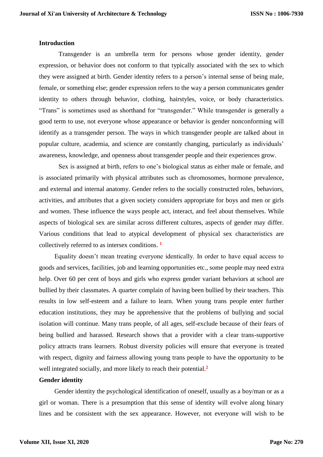#### **Introduction**

Transgender is an umbrella term for persons whose gender identity, gender expression, or behavior does not conform to that typically associated with the sex to which they were assigned at birth. Gender identity refers to a person's internal sense of being male, female, or something else; gender expression refers to the way a person communicates gender identity to others through behavior, clothing, hairstyles, voice, or body characteristics. "Trans" is sometimes used as shorthand for "transgender." While transgender is generally a good term to use, not everyone whose appearance or behavior is gender nonconforming will identify as a transgender person. The ways in which transgender people are talked about in popular culture, academia, and science are constantly changing, particularly as individuals' awareness, knowledge, and openness about transgender people and their experiences grow.

Sex is assigned at birth, refers to one's biological status as either male or female, and is associated primarily with physical attributes such as chromosomes, hormone prevalence, and external and internal anatomy. Gender refers to the socially constructed roles, behaviors, activities, and attributes that a given society considers appropriate for boys and men or girls and women. These influence the ways people act, interact, and feel about themselves. While aspects of biological sex are similar across different cultures, aspects of gender may differ. Various conditions that lead to atypical development of physical sex characteristics are collectively referred to as intersex conditions. **<sup>1</sup>**

Equality doesn't mean treating everyone identically. In order to have equal access to goods and services, facilities, job and learning opportunities etc., some people may need extra help. Over 60 per cent of boys and girls who express gender variant behaviors at school are bullied by their classmates. A quarter complain of having been bullied by their teachers. This results in low self-esteem and a failure to learn. When young trans people enter further education institutions, they may be apprehensive that the problems of bullying and social isolation will continue. Many trans people, of all ages, self-exclude because of their fears of being bullied and harassed. Research shows that a provider with a clear trans-supportive policy attracts trans learners. Robust diversity policies will ensure that everyone is treated with respect, dignity and fairness allowing young trans people to have the opportunity to be well integrated socially, and more likely to reach their potential.**<sup>2</sup>**

## **Gender identity**

Gender identity the psychological identification of oneself, usually as a boy/man or as a girl or woman. There is a presumption that this sense of identity will evolve along binary lines and be consistent with the sex appearance. However, not everyone will wish to be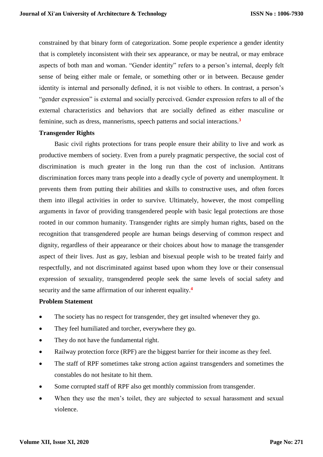constrained by that binary form of categorization. Some people experience a gender identity that is completely inconsistent with their sex appearance, or may be neutral, or may embrace aspects of both man and woman. "Gender identity" refers to a person's internal, deeply felt sense of being either male or female, or something other or in between. Because gender identity is internal and personally defined, it is not visible to others. In contrast, a person's "gender expression" is external and socially perceived. Gender expression refers to all of the external characteristics and behaviors that are socially defined as either masculine or feminine, such as dress, mannerisms, speech patterns and social interactions.**<sup>3</sup>**

## **Transgender Rights**

Basic civil rights protections for trans people ensure their ability to live and work as productive members of society. Even from a purely pragmatic perspective, the social cost of discrimination is much greater in the long run than the cost of inclusion. Antitrans discrimination forces many trans people into a deadly cycle of poverty and unemployment. It prevents them from putting their abilities and skills to constructive uses, and often forces them into illegal activities in order to survive. Ultimately, however, the most compelling arguments in favor of providing transgendered people with basic legal protections are those rooted in our common humanity. Transgender rights are simply human rights, based on the recognition that transgendered people are human beings deserving of common respect and dignity, regardless of their appearance or their choices about how to manage the transgender aspect of their lives. Just as gay, lesbian and bisexual people wish to be treated fairly and respectfully, and not discriminated against based upon whom they love or their consensual expression of sexuality, transgendered people seek the same levels of social safety and security and the same affirmation of our inherent equality.**<sup>4</sup>**

#### **Problem Statement**

- The society has no respect for transgender, they get insulted whenever they go.
- They feel humiliated and torcher, everywhere they go.
- They do not have the fundamental right.
- Railway protection force (RPF) are the biggest barrier for their income as they feel.
- The staff of RPF sometimes take strong action against transgenders and sometimes the constables do not hesitate to hit them.
- Some corrupted staff of RPF also get monthly commission from transgender.
- When they use the men's toilet, they are subjected to sexual harassment and sexual violence.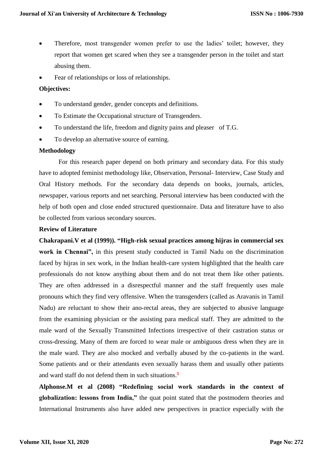- Therefore, most transgender women prefer to use the ladies' toilet; however, they report that women get scared when they see a transgender person in the toilet and start abusing them.
- Fear of relationships or loss of relationships.

## **Objectives:**

- To understand gender, gender concepts and definitions.
- To Estimate the Occupational structure of Transgenders.
- To understand the life, freedom and dignity pains and pleaser of T.G.
- To develop an alternative source of earning.

#### **Methodology**

For this research paper depend on both primary and secondary data. For this study have to adopted feminist methodology like, Observation, Personal- Interview, Case Study and Oral History methods. For the secondary data depends on books, journals, articles, newspaper, various reports and net searching. Personal interview has been conducted with the help of both open and close ended structured questionnaire. Data and literature have to also be collected from various secondary sources.

## **Review of Literature**

**Chakrapani.V et al (1999)). "High-risk sexual practices among hijras in commercial sex work in Chennai",** in this present study conducted in Tamil Nadu on the discrimination faced by hijras in sex work, in the Indian health-care system highlighted that the health care professionals do not know anything about them and do not treat them like other patients. They are often addressed in a disrespectful manner and the staff frequently uses male pronouns which they find very offensive. When the transgenders (called as Aravanis in Tamil Nadu) are reluctant to show their ano-rectal areas, they are subjected to abusive language from the examining physician or the assisting para medical staff. They are admitted to the male ward of the Sexually Transmitted Infections irrespective of their castration status or cross-dressing. Many of them are forced to wear male or ambiguous dress when they are in the male ward. They are also mocked and verbally abused by the co-patients in the ward. Some patients and or their attendants even sexually harass them and usually other patients and ward staff do not defend them in such situations.**<sup>5</sup>**

**Alphonse.M et al (2008) "Redefining social work standards in the context of globalization: lessons from India,"** the quat point stated that the postmodern theories and International Instruments also have added new perspectives in practice especially with the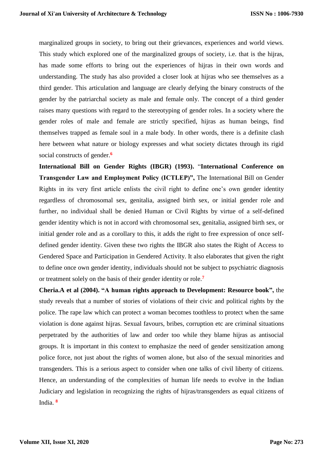marginalized groups in society, to bring out their grievances, experiences and world views. This study which explored one of the marginalized groups of society, i.e. that is the hijras, has made some efforts to bring out the experiences of hijras in their own words and understanding. The study has also provided a closer look at hijras who see themselves as a third gender. This articulation and language are clearly defying the binary constructs of the gender by the patriarchal society as male and female only. The concept of a third gender raises many questions with regard to the stereotyping of gender roles. In a society where the gender roles of male and female are strictly specified, hijras as human beings, find themselves trapped as female soul in a male body. In other words, there is a definite clash here between what nature or biology expresses and what society dictates through its rigid social constructs of gender.**<sup>6</sup>**

**International Bill on Gender Rights (IBGR) (1993).** "**International Conference on Transgender Law and Employment Policy (ICTLEP)",** The International Bill on Gender Rights in its very first article enlists the civil right to define one's own gender identity regardless of chromosomal sex, genitalia, assigned birth sex, or initial gender role and further, no individual shall be denied Human or Civil Rights by virtue of a self-defined gender identity which is not in accord with chromosomal sex, genitalia, assigned birth sex, or initial gender role and as a corollary to this, it adds the right to free expression of once selfdefined gender identity. Given these two rights the IBGR also states the Right of Access to Gendered Space and Participation in Gendered Activity. It also elaborates that given the right to define once own gender identity, individuals should not be subject to psychiatric diagnosis or treatment solely on the basis of their gender identity or role.**<sup>7</sup>**

**Cheria.A et al (2004). "A human rights approach to Development: Resource book",** the study reveals that a number of stories of violations of their civic and political rights by the police. The rape law which can protect a woman becomes toothless to protect when the same violation is done against hijras. Sexual favours, bribes, corruption etc are criminal situations perpetrated by the authorities of law and order too while they blame hijras as antisocial groups. It is important in this context to emphasize the need of gender sensitization among police force, not just about the rights of women alone, but also of the sexual minorities and transgenders. This is a serious aspect to consider when one talks of civil liberty of citizens. Hence, an understanding of the complexities of human life needs to evolve in the Indian Judiciary and legislation in recognizing the rights of hijras/transgenders as equal citizens of India. **<sup>8</sup>**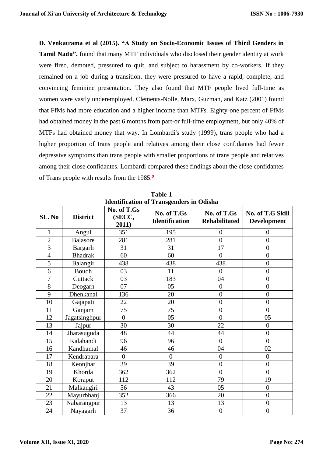**D. Venkatrama et al (2015). "A Study on Socio-Economic Issues of Third Genders in Tamil Nadu",** found that many MTF individuals who disclosed their gender identity at work were fired, demoted, pressured to quit, and subject to harassment by co-workers. If they remained on a job during a transition, they were pressured to have a rapid, complete, and convincing feminine presentation. They also found that MTF people lived full-time as women were vastly underemployed. Clements-Nolle, Marx, Guzman, and Katz (2001) found that FfMs had more education and a higher income than MTFs. Eighty-one percent of FfMs had obtained money in the past 6 months from part-or full-time employment, but only 40% of MTFs had obtained money that way. In Lombardi's study (1999), trans people who had a higher proportion of trans people and relatives among their close confidantes had fewer depressive symptoms than trans people with smaller proportions of trans people and relatives among their close confidantes. Lombardi compared these findings about the close confidantes of Trans people with results from the 1985.**<sup>9</sup>**

| ruentmeation or Transgenuers in Ouisna |                 |                                |                                      |                                     |                                        |  |
|----------------------------------------|-----------------|--------------------------------|--------------------------------------|-------------------------------------|----------------------------------------|--|
| SL. No                                 | <b>District</b> | No. of T.Gs<br>(SECC,<br>2011) | No. of T.Gs<br><b>Identification</b> | No. of T.Gs<br><b>Rehabilitated</b> | No. of T.G Skill<br><b>Development</b> |  |
| 1                                      | Angul           | 351                            | 195                                  | $\overline{0}$                      | $\overline{0}$                         |  |
| $\overline{2}$                         | <b>Balasore</b> | 281                            | 281                                  | $\boldsymbol{0}$                    | $\overline{0}$                         |  |
| 3                                      | Bargarh         | 31                             | 31                                   | 17                                  | $\overline{0}$                         |  |
| $\overline{4}$                         | <b>Bhadrak</b>  | 60                             | 60                                   | $\overline{0}$                      | $\boldsymbol{0}$                       |  |
| 5                                      | Balangir        | 438                            | 438                                  | 438                                 | $\overline{0}$                         |  |
| 6                                      | Boudh           | 03                             | 11                                   | $\overline{0}$                      | $\overline{0}$                         |  |
| $\overline{7}$                         | Cuttack         | 03                             | 183                                  | 04                                  | $\overline{0}$                         |  |
| 8                                      | Deogarh         | 07                             | 05                                   | $\theta$                            | $\overline{0}$                         |  |
| 9                                      | Dhenkanal       | 136                            | 20                                   | $\overline{0}$                      | $\overline{0}$                         |  |
| 10                                     | Gajapati        | 22                             | 20                                   | $\overline{0}$                      | $\overline{0}$                         |  |
| 11                                     | Ganjam          | 75                             | 75                                   | $\overline{0}$                      | $\overline{0}$                         |  |
| 12                                     | Jagatsinghpur   | $\overline{0}$                 | 05                                   | $\overline{0}$                      | 05                                     |  |
| 13                                     | Jajpur          | 30                             | 30                                   | 22                                  | $\overline{0}$                         |  |
| 14                                     | Jharasuguda     | 48                             | 44                                   | 44                                  | $\overline{0}$                         |  |
| 15                                     | Kalahandi       | 96                             | 96                                   | $\overline{0}$                      | $\overline{0}$                         |  |
| 16                                     | Kandhamal       | 46                             | 46                                   | 04                                  | 02                                     |  |
| 17                                     | Kendrapara      | $\overline{0}$                 | $\overline{0}$                       | $\overline{0}$                      | $\overline{0}$                         |  |
| 18                                     | Keonjhar        | 39                             | 39                                   | $\boldsymbol{0}$                    | $\overline{0}$                         |  |
| 19                                     | Khorda          | 362                            | 362                                  | $\overline{0}$                      | $\overline{0}$                         |  |
| 20                                     | Koraput         | 112                            | 112                                  | 79                                  | 19                                     |  |
| 21                                     | Malkangiri      | 56                             | 43                                   | 05                                  | $\overline{0}$                         |  |
| 22                                     | Mayurbhanj      | 352                            | 366                                  | 20                                  | $\overline{0}$                         |  |
| 23                                     | Nabarangpur     | 13                             | 13                                   | 13                                  | $\overline{0}$                         |  |
| 24                                     | Nayagarh        | 37                             | 36                                   | $\overline{0}$                      | $\overline{0}$                         |  |

**Table-1 Identification of Transgenders in Odisha**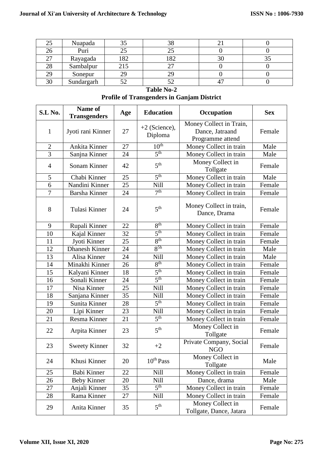| رے | Nuapada    |     | 38       |  |
|----|------------|-----|----------|--|
| 26 | Puri       |     |          |  |
| つつ | Rayagada   | 182 | $\Omega$ |  |
| 28 | Sambalpur  |     |          |  |
| 29 | Sonepur    | 29  | 29       |  |
| 30 | Sundargarh |     |          |  |

**Table No-2 Profile of Transgenders in Ganjam District**

| S.L No.        | Name of<br><b>Transgenders</b> | Age | <b>Education</b>           | Occupation                                                     | <b>Sex</b> |
|----------------|--------------------------------|-----|----------------------------|----------------------------------------------------------------|------------|
| $\mathbf{1}$   | Jyoti rani Kinner              | 27  | $+2$ (Science),<br>Diploma | Money Collect in Train,<br>Dance, Jatraand<br>Programme attend | Female     |
| $\overline{2}$ | Ankita Kinner                  | 27  | 10 <sup>th</sup>           | Money Collect in train                                         | Male       |
| $\overline{3}$ | Sanjna Kinner                  | 24  | 5 <sup>th</sup>            | Money Collect in train                                         | Male       |
| $\overline{4}$ | Sonam Kinner                   | 42  | 5 <sup>th</sup>            | Money Collect in<br>Tollgate                                   | Female     |
| 5              | Chabi Kinner                   | 25  | 5 <sup>th</sup>            | Money Collect in train                                         | Male       |
| 6              | Nandini Kinner                 | 25  | Nill                       | Money Collect in train                                         | Female     |
| $\overline{7}$ | <b>Barsha Kinner</b>           | 24  | 7 <sup>th</sup>            | Money Collect in train                                         | Female     |
| 8              | Tulasi Kinner                  | 24  | 5 <sup>th</sup>            | Money Collect in train,<br>Dance, Drama                        | Female     |
| 9              | Rupali Kinner                  | 22  | 8 <sup>th</sup>            | Money Collect in train                                         | Female     |
| 10             | Kajal Kinner                   | 32  | 5 <sup>th</sup>            | Money Collect in train                                         | Female     |
| 11             | Jyoti Kinner                   | 25  | 8 <sup>th</sup>            | Money Collect in train                                         | Female     |
| 12             | <b>Dhanesh Kinner</b>          | 24  | $8^{5h}$                   | Money Collect in train                                         | Male       |
| 13             | Alisa Kinner                   | 24  | Nill                       | Money Collect in train                                         | Male       |
| 14             | Minakhi Kinner                 | 26  | 8 <sup>th</sup>            | Money Collect in train                                         | Female     |
| 15             | Kalyani Kinner                 | 18  | 5 <sup>th</sup>            | Money Collect in train                                         | Female     |
| 16             | Sonali Kinner                  | 24  | 5 <sup>th</sup>            | Money Collect in train                                         | Female     |
| 17             | Nisa Kinner                    | 25  | Nill                       | Money Collect in train                                         | Female     |
| 18             | Sanjana Kinner                 | 35  | Nill                       | Money Collect in train                                         | Female     |
| 19             | Sunita Kinner                  | 28  | 5 <sup>th</sup>            | Money Collect in train                                         | Female     |
| 20             | Lipi Kinner                    | 23  | Nill                       | Money Collect in train                                         | Female     |
| 21             | Resma Kinner                   | 21  | 5 <sup>th</sup>            | Money Collect in train                                         | Female     |
| 22             | Arpita Kinner                  | 23  | 5 <sup>th</sup>            | Money Collect in<br>Tollgate                                   | Female     |
| 23             | <b>Sweety Kinner</b>           | 32  | $+2$                       | Private Company, Social<br>NGO                                 | Female     |
| 24             | Khusi Kinner                   | 20  | $10^{th}$ Pass             | Money Collect in<br>Tollgate                                   | Male       |
| 25             | Babi Kinner                    | 22  | Nill                       | Money Collect in train                                         | Female     |
| 26             | <b>Beby Kinner</b>             | 20  | Nill                       | Dance, drama                                                   | Male       |
| 27             | Anjali Kinner                  | 35  | 5 <sup>th</sup>            | Money Collect in train                                         | Female     |
| 28             | Rama Kinner                    | 27  | Nill                       | Money Collect in train                                         | Female     |
| 29             | Anita Kinner                   | 35  | 5 <sup>th</sup>            | Money Collect in<br>Tollgate, Dance, Jatara                    | Female     |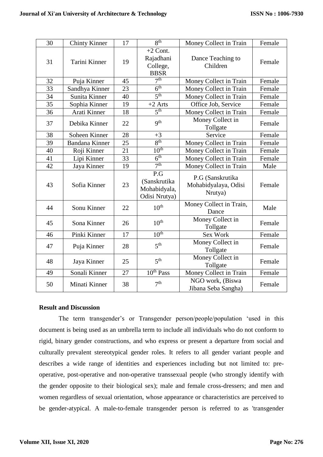| 30 | <b>Chinty Kinner</b>  | 17 | $R^{th}$                                             | Money Collect in Train                              | Female |
|----|-----------------------|----|------------------------------------------------------|-----------------------------------------------------|--------|
| 31 | Tarini Kinner         | 19 | $+2$ Cont.<br>Rajadhani<br>College,<br><b>BBSR</b>   | Dance Teaching to<br>Children                       | Female |
| 32 | Puja Kinner           | 45 | 7 <sup>th</sup>                                      | Money Collect in Train                              | Female |
| 33 | Sandhya Kinner        | 23 | 6 <sup>th</sup>                                      | Money Collect in Train                              | Female |
| 34 | Sunita Kinner         | 40 | 5 <sup>th</sup>                                      | Money Collect in Train                              | Female |
| 35 | Sophia Kinner         | 19 | $+2$ Arts                                            | Office Job, Service                                 | Female |
| 36 | Arati Kinner          | 18 | 5 <sup>th</sup>                                      | Money Collect in Train                              | Female |
| 37 | Debika Kinner         | 22 | q <sup>th</sup>                                      | Money Collect in<br>Tollgate                        | Female |
| 38 | Soheen Kinner         | 28 | $+3$                                                 | Service                                             | Female |
| 39 | <b>Bandana Kinner</b> | 25 | 8 <sup>th</sup>                                      | Money Collect in Train                              | Female |
| 40 | Roji Kinner           | 21 | 10 <sup>th</sup>                                     | Money Collect in Train                              | Female |
| 41 | Lipi Kinner           | 33 | 6 <sup>th</sup>                                      | Money Collect in Train                              | Female |
| 42 | Jaya Kinner           | 19 | 7 <sup>th</sup>                                      | Money Collect in Train                              | Male   |
| 43 | Sofia Kinner          | 23 | P.G<br>(Sanskrutika<br>Mohabidyala,<br>Odisi Nrutya) | P.G (Sanskrutika<br>Mohabidyalaya, Odisi<br>Nrutya) | Female |
| 44 | Sonu Kinner           | 22 | $10^{\text{th}}$                                     | Money Collect in Train,<br>Dance                    | Male   |
| 45 | Sona Kinner           | 26 | 10 <sup>th</sup>                                     | Money Collect in<br>Tollgate                        | Female |
| 46 | Pinki Kinner          | 17 | 10 <sup>th</sup>                                     | Sex Work                                            | Female |
| 47 | Puja Kinner           | 28 | 5 <sup>th</sup>                                      | Money Collect in<br>Tollgate                        | Female |
| 48 | Jaya Kinner           | 25 | 5 <sup>th</sup>                                      | Money Collect in<br>Tollgate                        | Female |
| 49 | Sonali Kinner         | 27 | 10 <sup>th</sup> Pass                                | Money Collect in Train                              | Female |
| 50 | Minati Kinner         | 38 | 7 <sup>th</sup>                                      | NGO work, (Biswa<br>Jibana Seba Sangha)             | Female |

## **Result and Discussion**

The term transgender's or Transgender person/people/population 'used in this document is being used as an umbrella term to include all individuals who do not conform to rigid, binary gender constructions, and who express or present a departure from social and culturally prevalent stereotypical gender roles. It refers to all gender variant people and describes a wide range of identities and experiences including but not limited to: preoperative, post-operative and non-operative transsexual people (who strongly identify with the gender opposite to their biological sex); male and female cross-dressers; and men and women regardless of sexual orientation, whose appearance or characteristics are perceived to be gender-atypical. A male-to-female transgender person is referred to as 'transgender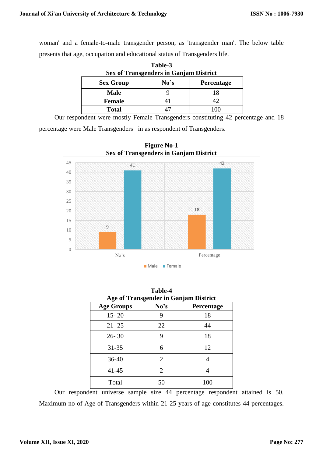woman' and a female-to-male transgender person, as 'transgender man'. The below table presents that age, occupation and educational status of Transgenders life.

| <b>Sex of Transgenders in Ganjam District</b> |                   |  |  |  |
|-----------------------------------------------|-------------------|--|--|--|
| <b>Sex Group</b>                              | <b>Percentage</b> |  |  |  |
| <b>Male</b>                                   |                   |  |  |  |
| <b>Female</b>                                 |                   |  |  |  |
| <b>Total</b>                                  |                   |  |  |  |

**Table-3**

Our respondent were mostly Female Transgenders constituting 42 percentage and 18

percentage were Male Transgenders in as respondent of Transgenders.



**Figure No-1 Sex of Transgenders in Ganjam District**

| Table-4<br><b>Age of Transgender in Ganjam District</b> |      |            |  |  |  |
|---------------------------------------------------------|------|------------|--|--|--|
| <b>Age Groups</b>                                       | No's | Percentage |  |  |  |
| $15 - 20$                                               | 9    | 18         |  |  |  |
| $21 - 25$                                               | 22   | 44         |  |  |  |
| $26 - 30$                                               | 9    | 18         |  |  |  |
| $31 - 35$                                               | 6    | 12         |  |  |  |
| $36 - 40$                                               | 2    | 4          |  |  |  |
| $41 - 45$                                               | 2    |            |  |  |  |
| Total                                                   | 50   | 100        |  |  |  |

Our respondent universe sample size 44 percentage respondent attained is 50. Maximum no of Age of Transgenders within 21-25 years of age constitutes 44 percentages.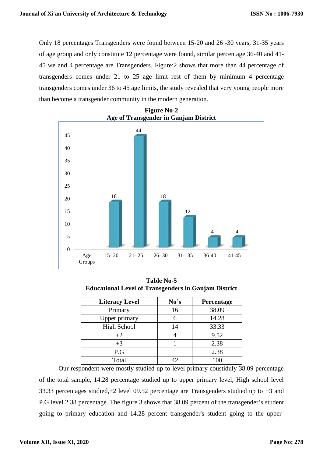Only 18 percentages Transgenders were found between 15-20 and 26 -30 years, 31-35 years of age group and only constitute 12 percentage were found, similar percentage 36-40 and 41- 45 we and 4 percentage are Transgenders. Figure:2 shows that more than 44 percentage of transgenders comes under 21 to 25 age limit rest of them by minimum 4 percentage transgenders comes under 36 to 45 age limits, the study revealed that very young people more than become a transgender community in the modern generation.



**Figure No-2 Age of Transgender in Ganjam District**

**Table No-5 Educational Level of Transgenders in Ganjam District**

| <b>Literacy Level</b> | No's | Percentage |
|-----------------------|------|------------|
| Primary               | 16   | 38.09      |
| Upper primary         |      | 14.28      |
| <b>High School</b>    | 14   | 33.33      |
| $+2$                  |      | 9.52       |
| $+3$                  |      | 2.38       |
| P.G                   |      | 2.38       |
| Total                 |      | 100        |

Our respondent were mostly studied up to level primary coustiduly 38.09 percentage of the total sample, 14.28 percentage studied up to upper primary level, High school level 33.33 percentages studied,+2 level 09.52 percentage are Transgenders studied up to +3 and P.G level 2.38 percentage. The figure 3 shows that 38.09 percent of the transgender's student going to primary education and 14.28 percent transgender's student going to the upper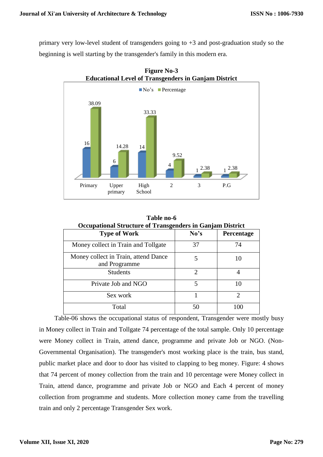primary very low-level student of transgenders going to +3 and post-graduation study so the beginning is well starting by the transgender's family in this modern era.



**Figure No-3**

| <b>Occupational Structure of Transgenders in Ganjam District</b> |                             |                             |  |  |
|------------------------------------------------------------------|-----------------------------|-----------------------------|--|--|
| <b>Type of Work</b>                                              | No's                        | Percentage                  |  |  |
| Money collect in Train and Tollgate                              | 37                          | 74                          |  |  |
| Money collect in Train, attend Dance<br>and Programme            | 5                           | 10                          |  |  |
| <b>Students</b>                                                  | $\mathcal{D}_{\mathcal{A}}$ |                             |  |  |
| Private Job and NGO                                              | 5                           | 10                          |  |  |
| Sex work                                                         |                             | $\mathcal{D}_{\mathcal{L}}$ |  |  |
| Total                                                            | 50                          | 100                         |  |  |

**Table no-6**

Table-06 shows the occupational status of respondent, Transgender were mostly busy in Money collect in Train and Tollgate 74 percentage of the total sample. Only 10 percentage were Money collect in Train, attend dance, programme and private Job or NGO. (Non-Governmental Organisation). The transgender's most working place is the train, bus stand, public market place and door to door has visited to clapping to beg money. Figure: 4 shows that 74 percent of money collection from the train and 10 percentage were Money collect in Train, attend dance, programme and private Job or NGO and Each 4 percent of money collection from programme and students. More collection money came from the travelling train and only 2 percentage Transgender Sex work.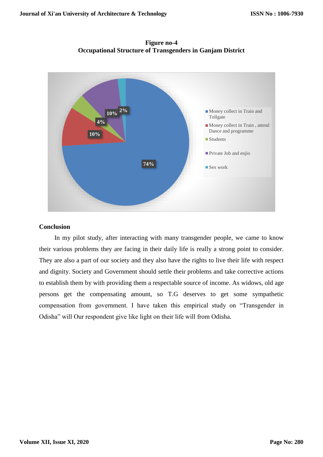**74% 10% 4% 10%** <sup>2%</sup> **I** Money collect in Train and Tollgate Money collect in Train , attend Dance and programme ■ Students **Private Job and enjio** ■ Sex work

**Figure no-4 Occupational Structure of Transgenders in Ganjam District**

# **Conclusion**

In my pilot study, after interacting with many transgender people, we came to know their various problems they are facing in their daily life is really a strong point to consider. They are also a part of our society and they also have the rights to live their life with respect and dignity. Society and Government should settle their problems and take corrective actions to establish them by with providing them a respectable source of income. As widows, old age persons get the compensating amount, so T.G deserves to get some sympathetic compensation from government. I have taken this empirical study on "Transgender in Odisha" will Our respondent give like light on their life will from Odisha.